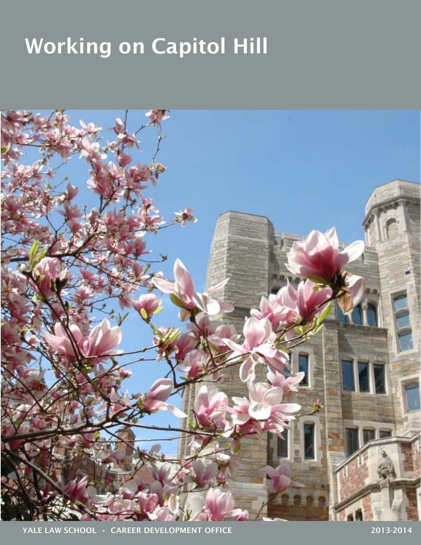# Working on Capitol Hill

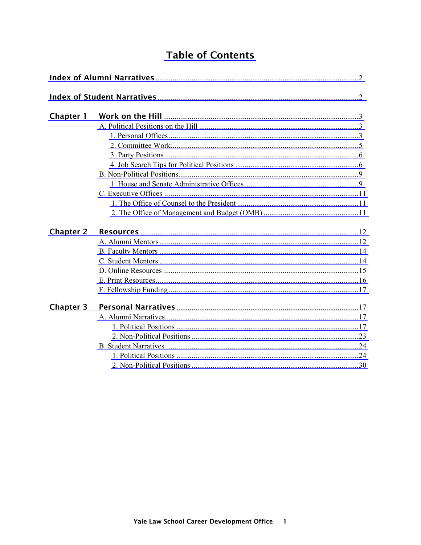# **Table of Contents**

| Chapter 1        |  |  |  |  |
|------------------|--|--|--|--|
|                  |  |  |  |  |
|                  |  |  |  |  |
|                  |  |  |  |  |
|                  |  |  |  |  |
|                  |  |  |  |  |
|                  |  |  |  |  |
|                  |  |  |  |  |
|                  |  |  |  |  |
|                  |  |  |  |  |
|                  |  |  |  |  |
| <b>Chapter 2</b> |  |  |  |  |
|                  |  |  |  |  |
|                  |  |  |  |  |
|                  |  |  |  |  |
|                  |  |  |  |  |
|                  |  |  |  |  |
|                  |  |  |  |  |
| <b>Chapter 3</b> |  |  |  |  |
|                  |  |  |  |  |
|                  |  |  |  |  |
|                  |  |  |  |  |
|                  |  |  |  |  |
|                  |  |  |  |  |
|                  |  |  |  |  |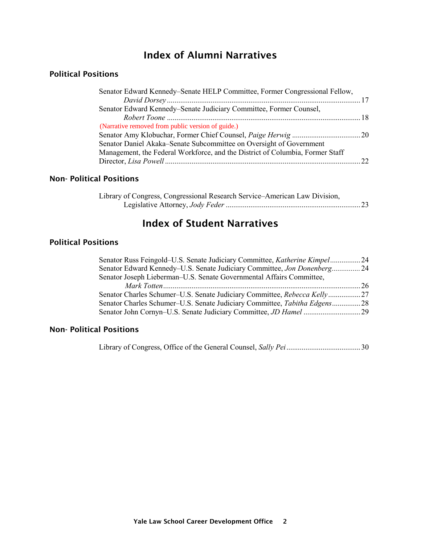# Index of Alumni Narratives

### <span id="page-2-0"></span>Political Positions

| Senator Edward Kennedy–Senate HELP Committee, Former Congressional Fellow,    |  |
|-------------------------------------------------------------------------------|--|
|                                                                               |  |
| Senator Edward Kennedy–Senate Judiciary Committee, Former Counsel,            |  |
|                                                                               |  |
| (Narrative removed from public version of guide.)                             |  |
|                                                                               |  |
| Senator Daniel Akaka–Senate Subcommittee on Oversight of Government           |  |
| Management, the Federal Workforce, and the District of Columbia, Former Staff |  |
|                                                                               |  |
|                                                                               |  |

# Non- Political Positions

| Library of Congress, Congressional Research Service–American Law Division, |  |
|----------------------------------------------------------------------------|--|
|                                                                            |  |

# Index of Student Narratives

# Political Positions

| Senator Russ Feingold–U.S. Senate Judiciary Committee, <i>Katherine Kimpel</i> 24 |  |
|-----------------------------------------------------------------------------------|--|
| Senator Edward Kennedy–U.S. Senate Judiciary Committee, Jon Donenberg 24          |  |
| Senator Joseph Lieberman-U.S. Senate Governmental Affairs Committee,              |  |
|                                                                                   |  |
| Senator Charles Schumer–U.S. Senate Judiciary Committee, Rebecca Kelly            |  |
| Senator Charles Schumer–U.S. Senate Judiciary Committee, Tabitha Edgens28         |  |
|                                                                                   |  |
|                                                                                   |  |

### Non- Political Positions

Library of Congress, Office of the General Counsel, *Sally Pei* ....................................... 30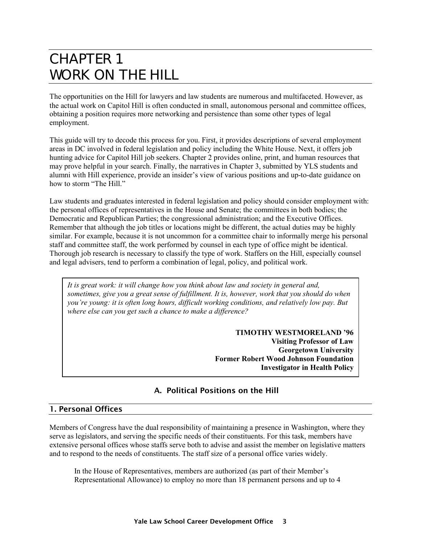# <span id="page-3-0"></span>CHAPTER 1 WORK ON THE HILL

The opportunities on the Hill for lawyers and law students are numerous and multifaceted. However, as the actual work on Capitol Hill is often conducted in small, autonomous personal and committee offices, obtaining a position requires more networking and persistence than some other types of legal employment.

This guide will try to decode this process for you. First, it provides descriptions of several employment areas in DC involved in federal legislation and policy including the White House. Next, it offers job hunting advice for Capitol Hill job seekers. Chapter 2 provides online, print, and human resources that may prove helpful in your search. Finally, the narratives in Chapter 3, submitted by YLS students and alumni with Hill experience, provide an insider's view of various positions and up-to-date guidance on how to storm "The Hill."

Law students and graduates interested in federal legislation and policy should consider employment with: the personal offices of representatives in the House and Senate; the committees in both bodies; the Democratic and Republican Parties; the congressional administration; and the Executive Offices. Remember that although the job titles or locations might be different, the actual duties may be highly similar. For example, because it is not uncommon for a committee chair to informally merge his personal staff and committee staff, the work performed by counsel in each type of office might be identical. Thorough job research is necessary to classify the type of work. Staffers on the Hill, especially counsel and legal advisers, tend to perform a combination of legal, policy, and political work.

*It is great work: it will change how you think about law and society in general and, sometimes, give you a great sense of fulfillment. It is, however, work that you should do when you're young: it is often long hours, difficult working conditions, and relatively low pay. But where else can you get such a chance to make a difference?* 

> **TIMOTHY WESTMORELAND '96 Visiting Professor of Law Georgetown University Former Robert Wood Johnson Foundation Investigator in Health Policy**

# A. Political Positions on the Hill

#### 1. Personal Offices

Members of Congress have the dual responsibility of maintaining a presence in Washington, where they serve as legislators, and serving the specific needs of their constituents. For this task, members have extensive personal offices whose staffs serve both to advise and assist the member on legislative matters and to respond to the needs of constituents. The staff size of a personal office varies widely.

In the House of Representatives, members are authorized (as part of their Member's Representational Allowance) to employ no more than 18 permanent persons and up to 4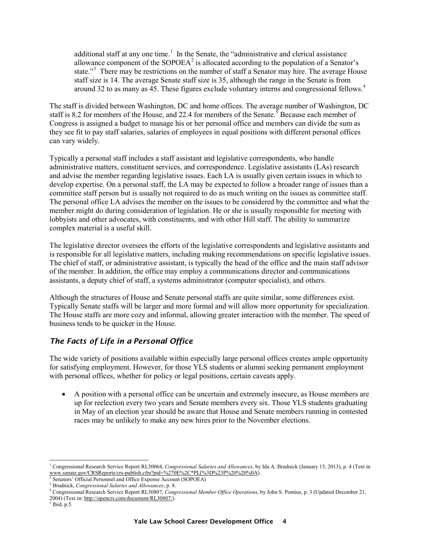additional staff at any one time.<sup>[1](#page-4-0)</sup> In the Senate, the "administrative and clerical assistance allowance component of the SOPOEA<sup>[2](#page-4-1)</sup> is allocated according to the population of a Senator's state."<sup>[3](#page-4-2)</sup> There may be restrictions on the number of staff a Senator may hire. The average House staff size is 14. The average Senate staff size is 35, although the range in the Senate is from around 32 to as many as [4](#page-4-3)5. These figures exclude voluntary interns and congressional fellows.<sup>4</sup>

The staff is divided between Washington, DC and home offices. The average number of Washington, DC staff is 8.2 for members of the House, and 22.4 for members of the Senate.<sup>[5](#page-4-4)</sup> Because each member of Congress is assigned a budget to manage his or her personal office and members can divide the sum as they see fit to pay staff salaries, salaries of employees in equal positions with different personal offices can vary widely.

Typically a personal staff includes a staff assistant and legislative correspondents, who handle administrative matters, constituent services, and correspondence. Legislative assistants (LAs) research and advise the member regarding legislative issues. Each LA is usually given certain issues in which to develop expertise. On a personal staff, the LA may be expected to follow a broader range of issues than a committee staff person but is usually not required to do as much writing on the issues as committee staff. The personal office LA advises the member on the issues to be considered by the committee and what the member might do during consideration of legislation. He or she is usually responsible for meeting with lobbyists and other advocates, with constituents, and with other Hill staff. The ability to summarize complex material is a useful skill.

The legislative director oversees the efforts of the legislative correspondents and legislative assistants and is responsible for all legislative matters, including making recommendations on specific legislative issues. The chief of staff, or administrative assistant, is typically the head of the office and the main staff advisor of the member. In addition, the office may employ a communications director and communications assistants, a deputy chief of staff, a systems administrator (computer specialist), and others.

Although the structures of House and Senate personal staffs are quite similar, some differences exist. Typically Senate staffs will be larger and more formal and will allow more opportunity for specialization. The House staffs are more cozy and informal, allowing greater interaction with the member. The speed of business tends to be quicker in the House.

# *The Facts of Life in a Personal Office*

The wide variety of positions available within especially large personal offices creates ample opportunity for satisfying employment. However, for those YLS students or alumni seeking permanent employment with personal offices, whether for policy or legal positions, certain caveats apply.

• A position with a personal office can be uncertain and extremely insecure, as House members are up for reelection every two years and Senate members every six. Those YLS students graduating in May of an election year should be aware that House and Senate members running in contested races may be unlikely to make any new hires prior to the November elections.

2004) (Text in[: http://opencrs.com/document/RL30807/\)](http://opencrs.com/document/RL30807/). 5 Ibid, p.5.

 $\overline{a}$ 

<span id="page-4-0"></span><sup>1</sup> Congressional Research Service Report RL30064, *Congressional Salaries and Allowances*, by Ida A. Brudnick (January 15, 2013), p. 4 (Text in [www.senate.gov/CRSReports/crs-publish.cfm?pid=%270E%2C\\*PL\[%3D%23P%20%20%0A\)](http://www.senate.gov/CRSReports/crs-publish.cfm?pid=%270E%2C*PL%5b%3D%23P%20%20%0A).

<sup>&</sup>lt;sup>2</sup> Senators' Official Personnel and Office Expense Account (SOPOEA)

<span id="page-4-2"></span><span id="page-4-1"></span><sup>3</sup> Brudnick, *Congressional Salaries and Allowances*, p. 8.

<span id="page-4-3"></span><sup>4</sup> Congressional Research Service Report RL30807, *Congressional Member Office Operations*, by John S. Pontius, p. 3 (Updated December 21,

<span id="page-4-4"></span>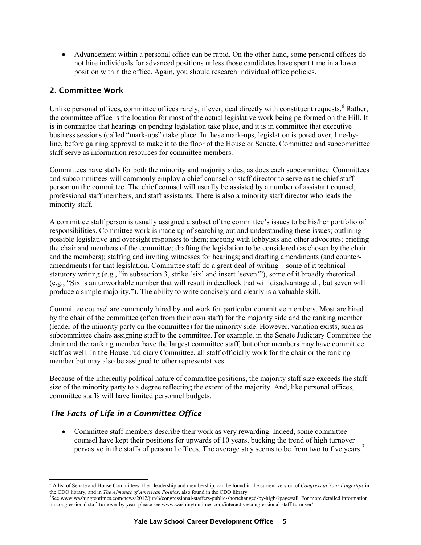<span id="page-5-0"></span>• Advancement within a personal office can be rapid. On the other hand, some personal offices do not hire individuals for advanced positions unless those candidates have spent time in a lower position within the office. Again, you should research individual office policies.

#### 2. Committee Work

Unlike personal offices, committee offices rarely, if ever, deal directly with constituent requests.<sup>[6](#page-5-1)</sup> Rather, the committee office is the location for most of the actual legislative work being performed on the Hill. It is in committee that hearings on pending legislation take place, and it is in committee that executive business sessions (called "mark-ups") take place. In these mark-ups, legislation is pored over, line-byline, before gaining approval to make it to the floor of the House or Senate. Committee and subcommittee staff serve as information resources for committee members.

Committees have staffs for both the minority and majority sides, as does each subcommittee. Committees and subcommittees will commonly employ a chief counsel or staff director to serve as the chief staff person on the committee. The chief counsel will usually be assisted by a number of assistant counsel, professional staff members, and staff assistants. There is also a minority staff director who leads the minority staff.

A committee staff person is usually assigned a subset of the committee's issues to be his/her portfolio of responsibilities. Committee work is made up of searching out and understanding these issues; outlining possible legislative and oversight responses to them; meeting with lobbyists and other advocates; briefing the chair and members of the committee; drafting the legislation to be considered (as chosen by the chair and the members); staffing and inviting witnesses for hearings; and drafting amendments (and counteramendments) for that legislation. Committee staff do a great deal of writing—some of it technical statutory writing (e.g., "in subsection 3, strike 'six' and insert 'seven'"), some of it broadly rhetorical (e.g., "Six is an unworkable number that will result in deadlock that will disadvantage all, but seven will produce a simple majority."). The ability to write concisely and clearly is a valuable skill.

Committee counsel are commonly hired by and work for particular committee members. Most are hired by the chair of the committee (often from their own staff) for the majority side and the ranking member (leader of the minority party on the committee) for the minority side. However, variation exists, such as subcommittee chairs assigning staff to the committee. For example, in the Senate Judiciary Committee the chair and the ranking member have the largest committee staff, but other members may have committee staff as well. In the House Judiciary Committee, all staff officially work for the chair or the ranking member but may also be assigned to other representatives.

Because of the inherently political nature of committee positions, the majority staff size exceeds the staff size of the minority party to a degree reflecting the extent of the majority. And, like personal offices, committee staffs will have limited personnel budgets.

# *The Facts of Life in a Committee Office*

• Committee staff members describe their work as very rewarding. Indeed, some committee counsel have kept their positions for upwards of 10 years, bucking the trend of high turnover pervasive in the staffs of personal offices. The average stay seems to be from two to five years.<sup>[7](#page-5-2)</sup>

<span id="page-5-1"></span> $\overline{a}$ <sup>6</sup> A list of Senate and House Committees, their leadership and membership, can be found in the current version of *Congress at Your Fingertips* in the CDO library, and in *The Almanac of American Politics*, also found in the CDO library.

<span id="page-5-2"></span><sup>&</sup>lt;sup>7</sup>See [www.washingtontimes.com/news/2012/jun/6/congressional-staffers-public-shortchanged-by-high/?page=all.](http://www.washingtontimes.com/news/2012/jun/6/congressional-staffers-public-shortchanged-by-high/?page=all) For more detailed information on congressional staff turnover by year, please se[e www.washingtontimes.com/interactive/congressional-staff-turnover/.](http://www.washingtontimes.com/interactive/congressional-staff-turnover/)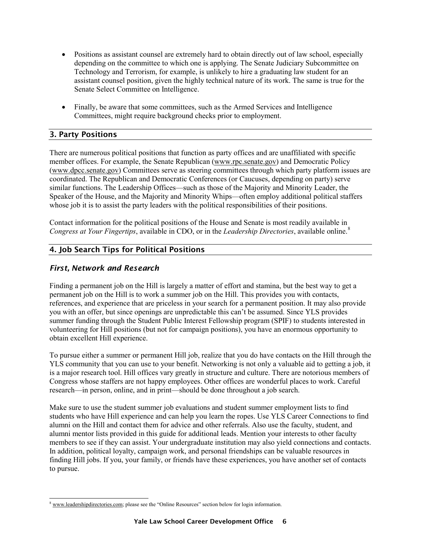- <span id="page-6-0"></span>• Positions as assistant counsel are extremely hard to obtain directly out of law school, especially depending on the committee to which one is applying. The Senate Judiciary Subcommittee on Technology and Terrorism, for example, is unlikely to hire a graduating law student for an assistant counsel position, given the highly technical nature of its work. The same is true for the Senate Select Committee on Intelligence.
- Finally, be aware that some committees, such as the Armed Services and Intelligence Committees, might require background checks prior to employment.

# 3. Party Positions

There are numerous political positions that function as party offices and are unaffiliated with specific member offices. For example, the Senate Republican [\(www.rpc.senate.gov\)](http://www.rpc.senate.gov/) and Democratic Policy [\(www.dpcc.senate.gov\)](http://www.dpcc.senate.gov/) Committees serve as steering committees through which party platform issues are coordinated. The Republican and Democratic Conferences (or Caucuses, depending on party) serve similar functions. The Leadership Offices—such as those of the Majority and Minority Leader, the Speaker of the House, and the Majority and Minority Whips—often employ additional political staffers whose job it is to assist the party leaders with the political responsibilities of their positions.

Contact information for the political positions of the House and Senate is most readily available in *Congress at Your Fingertips*, available in CDO, or in the *Leadership Directories*, available online.[8](#page-6-1)

#### 4. Job Search Tips for Political Positions

#### *First, Network and Research*

Finding a permanent job on the Hill is largely a matter of effort and stamina, but the best way to get a permanent job on the Hill is to work a summer job on the Hill. This provides you with contacts, references, and experience that are priceless in your search for a permanent position. It may also provide you with an offer, but since openings are unpredictable this can't be assumed. Since YLS provides summer funding through the Student Public Interest Fellowship program (SPIF) to students interested in volunteering for Hill positions (but not for campaign positions), you have an enormous opportunity to obtain excellent Hill experience.

To pursue either a summer or permanent Hill job, realize that you do have contacts on the Hill through the YLS community that you can use to your benefit. Networking is not only a valuable aid to getting a job, it is a major research tool. Hill offices vary greatly in structure and culture. There are notorious members of Congress whose staffers are not happy employees. Other offices are wonderful places to work. Careful research—in person, online, and in print—should be done throughout a job search.

Make sure to use the student summer job evaluations and student summer employment lists to find students who have Hill experience and can help you learn the ropes. Use YLS Career Connections to find alumni on the Hill and contact them for advice and other referrals. Also use the faculty, student, and alumni mentor lists provided in this guide for additional leads. Mention your interests to other faculty members to see if they can assist. Your undergraduate institution may also yield connections and contacts. In addition, political loyalty, campaign work, and personal friendships can be valuable resources in finding Hill jobs. If you, your family, or friends have these experiences, you have another set of contacts to pursue.

<span id="page-6-1"></span> $\overline{a}$ <sup>8</sup> [www.leadershipdirectories.com;](http://www.leadershipdirectories.com/) please see the "Online Resources" section below for login information.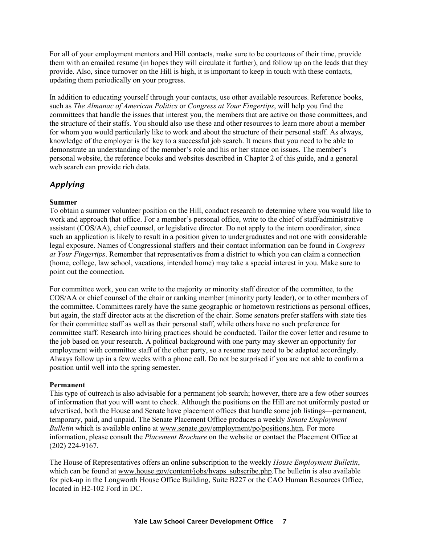For all of your employment mentors and Hill contacts, make sure to be courteous of their time, provide them with an emailed resume (in hopes they will circulate it further), and follow up on the leads that they provide. Also, since turnover on the Hill is high, it is important to keep in touch with these contacts, updating them periodically on your progress.

In addition to educating yourself through your contacts, use other available resources. Reference books, such as *The Almanac of American Politics* or *Congress at Your Fingertips*, will help you find the committees that handle the issues that interest you, the members that are active on those committees, and the structure of their staffs. You should also use these and other resources to learn more about a member for whom you would particularly like to work and about the structure of their personal staff. As always, knowledge of the employer is the key to a successful job search. It means that you need to be able to demonstrate an understanding of the member's role and his or her stance on issues. The member's personal website, the reference books and websites described in Chapter 2 of this guide, and a general web search can provide rich data.

# *Applying*

#### **Summer**

To obtain a summer volunteer position on the Hill, conduct research to determine where you would like to work and approach that office. For a member's personal office, write to the chief of staff/administrative assistant (COS/AA), chief counsel, or legislative director. Do not apply to the intern coordinator, since such an application is likely to result in a position given to undergraduates and not one with considerable legal exposure. Names of Congressional staffers and their contact information can be found in *Congress at Your Fingertips*. Remember that representatives from a district to which you can claim a connection (home, college, law school, vacations, intended home) may take a special interest in you. Make sure to point out the connection.

For committee work, you can write to the majority or minority staff director of the committee, to the COS/AA or chief counsel of the chair or ranking member (minority party leader), or to other members of the committee. Committees rarely have the same geographic or hometown restrictions as personal offices, but again, the staff director acts at the discretion of the chair. Some senators prefer staffers with state ties for their committee staff as well as their personal staff, while others have no such preference for committee staff. Research into hiring practices should be conducted. Tailor the cover letter and resume to the job based on your research. A political background with one party may skewer an opportunity for employment with committee staff of the other party, so a resume may need to be adapted accordingly. Always follow up in a few weeks with a phone call. Do not be surprised if you are not able to confirm a position until well into the spring semester.

#### **Permanent**

This type of outreach is also advisable for a permanent job search; however, there are a few other sources of information that you will want to check. Although the positions on the Hill are not uniformly posted or advertised, both the House and Senate have placement offices that handle some job listings—permanent, temporary, paid, and unpaid. The Senate Placement Office produces a weekly *Senate Employment Bulletin* which is available online at [www.senate.gov/employment/po/positions.htm.](http://www.senate.gov/employment/po/positions.htm) For more information, please consult the *Placement Brochure* on the website or contact the Placement Office at (202) 224-9167.

The House of Representatives offers an online subscription to the weekly *House Employment Bulletin*, which can be found at [www.house.gov/content/jobs/hvaps\\_subscribe.php.](http://www.house.gov/content/jobs/hvaps_subscribe.php)The bulletin is also available for pick-up in the Longworth House Office Building, Suite B227 or the CAO Human Resources Office, located in H2-102 Ford in DC.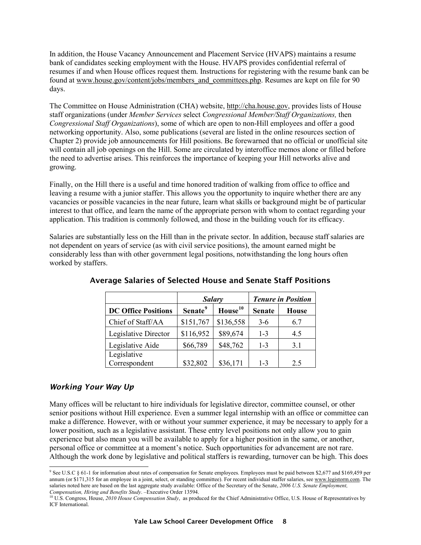In addition, the House Vacancy Announcement and Placement Service (HVAPS) maintains a resume bank of candidates seeking employment with the House. HVAPS provides confidential referral of resumes if and when House offices request them. Instructions for registering with the resume bank can be found at [www.house.gov/content/jobs/members\\_and\\_committees.php.](http://www.house.gov/content/jobs/members_and_committees.php) Resumes are kept on file for 90 days.

The Committee on House Administration (CHA) website, [http://cha.house.gov,](http://cha.house.gov/) provides lists of House staff organizations (under *Member Services* select *Congressional Member/Staff Organizations,* then *Congressional Staff Organizations*), some of which are open to non-Hill employees and offer a good networking opportunity. Also, some publications (several are listed in the online resources section of Chapter 2) provide job announcements for Hill positions. Be forewarned that no official or unofficial site will contain all job openings on the Hill. Some are circulated by interoffice memos alone or filled before the need to advertise arises. This reinforces the importance of keeping your Hill networks alive and growing.

Finally, on the Hill there is a useful and time honored tradition of walking from office to office and leaving a resume with a junior staffer. This allows you the opportunity to inquire whether there are any vacancies or possible vacancies in the near future, learn what skills or background might be of particular interest to that office, and learn the name of the appropriate person with whom to contact regarding your application. This tradition is commonly followed, and those in the building vouch for its efficacy.

Salaries are substantially less on the Hill than in the private sector. In addition, because staff salaries are not dependent on years of service (as with civil service positions), the amount earned might be considerably less than with other government legal positions, notwithstanding the long hours often worked by staffers.

|                            | <b>Salary</b>       |                     | <b>Tenure in Position</b> |              |
|----------------------------|---------------------|---------------------|---------------------------|--------------|
| <b>DC Office Positions</b> | Senate <sup>9</sup> | House <sup>10</sup> | <b>Senate</b>             | <b>House</b> |
| Chief of Staff/AA          | \$151,767           | \$136,558           | $3-6$                     | 6.7          |
| Legislative Director       | \$116,952           | \$89,674            | $1 - 3$                   | 4.5          |
| Legislative Aide           | \$66,789            | \$48,762            | $1 - 3$                   | 3.1          |
| Legislative                |                     |                     |                           |              |
| Correspondent              | \$32,802            | \$36,171            | $1 - 3$                   | 2.5          |

#### Average Salaries of Selected House and Senate Staff Positions

#### *Working Your Way Up*

Many offices will be reluctant to hire individuals for legislative director, committee counsel, or other senior positions without Hill experience. Even a summer legal internship with an office or committee can make a difference. However, with or without your summer experience, it may be necessary to apply for a lower position, such as a legislative assistant. These entry level positions not only allow you to gain experience but also mean you will be available to apply for a higher position in the same, or another, personal office or committee at a moment's notice. Such opportunities for advancement are not rare. Although the work done by legislative and political staffers is rewarding, turnover can be high. This does

<span id="page-8-0"></span> $\overline{a}$ <sup>9</sup> See U.S.C § 61-1 for information about rates of compensation for Senate employees. Employees must be paid between \$2,677 and \$169,459 per annum (or \$171,315 for an employee in a joint, select, or standing committee). For recent individual staffer salaries, se[e www.legistorm.com.](http://www.legistorm.com/) The salaries noted here are based on the last aggregate study available: Office of the Secretary of the Senate, *2006 U.S. Senate Employment,* 

<span id="page-8-1"></span>*Compensation, Hiring and Benefits Study*. –Executive Order 13594. 10 U.S. Congress, House, *2010 House Compensation Study*, as produced for the Chief Administrative Office, U.S. House of Representatives by ICF International.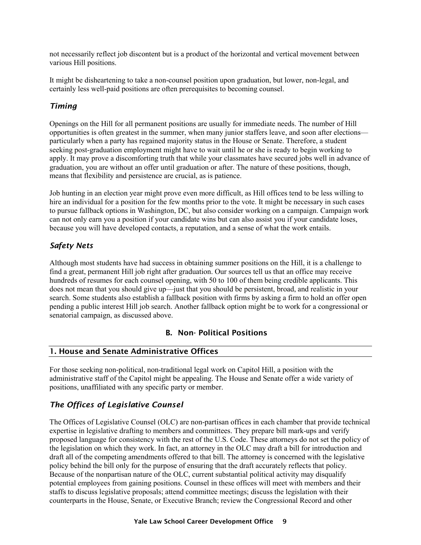<span id="page-9-0"></span>not necessarily reflect job discontent but is a product of the horizontal and vertical movement between various Hill positions.

It might be disheartening to take a non-counsel position upon graduation, but lower, non-legal, and certainly less well-paid positions are often prerequisites to becoming counsel.

# *Timing*

Openings on the Hill for all permanent positions are usually for immediate needs. The number of Hill opportunities is often greatest in the summer, when many junior staffers leave, and soon after elections particularly when a party has regained majority status in the House or Senate. Therefore, a student seeking post-graduation employment might have to wait until he or she is ready to begin working to apply. It may prove a discomforting truth that while your classmates have secured jobs well in advance of graduation, you are without an offer until graduation or after. The nature of these positions, though, means that flexibility and persistence are crucial, as is patience.

Job hunting in an election year might prove even more difficult, as Hill offices tend to be less willing to hire an individual for a position for the few months prior to the vote. It might be necessary in such cases to pursue fallback options in Washington, DC, but also consider working on a campaign. Campaign work can not only earn you a position if your candidate wins but can also assist you if your candidate loses, because you will have developed contacts, a reputation, and a sense of what the work entails.

# *Safety Nets*

Although most students have had success in obtaining summer positions on the Hill, it is a challenge to find a great, permanent Hill job right after graduation. Our sources tell us that an office may receive hundreds of resumes for each counsel opening, with 50 to 100 of them being credible applicants. This does not mean that you should give up—just that you should be persistent, broad, and realistic in your search. Some students also establish a fallback position with firms by asking a firm to hold an offer open pending a public interest Hill job search. Another fallback option might be to work for a congressional or senatorial campaign, as discussed above.

# B. Non- Political Positions

# 1. House and Senate Administrative Offices

For those seeking non-political, non-traditional legal work on Capitol Hill, a position with the administrative staff of the Capitol might be appealing. The House and Senate offer a wide variety of positions, unaffiliated with any specific party or member.

# *The Offices of Legislative Counsel*

The Offices of Legislative Counsel (OLC) are non-partisan offices in each chamber that provide technical expertise in legislative drafting to members and committees. They prepare bill mark-ups and verify proposed language for consistency with the rest of the U.S. Code. These attorneys do not set the policy of the legislation on which they work. In fact, an attorney in the OLC may draft a bill for introduction and draft all of the competing amendments offered to that bill. The attorney is concerned with the legislative policy behind the bill only for the purpose of ensuring that the draft accurately reflects that policy. Because of the nonpartisan nature of the OLC, current substantial political activity may disqualify potential employees from gaining positions. Counsel in these offices will meet with members and their staffs to discuss legislative proposals; attend committee meetings; discuss the legislation with their counterparts in the House, Senate, or Executive Branch; review the Congressional Record and other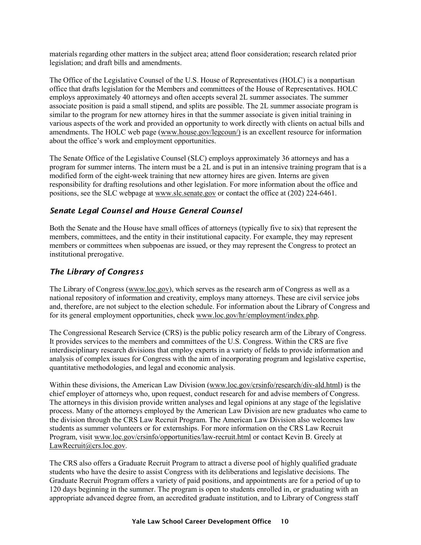materials regarding other matters in the subject area; attend floor consideration; research related prior legislation; and draft bills and amendments.

The Office of the Legislative Counsel of the U.S. House of Representatives (HOLC) is a nonpartisan office that drafts legislation for the Members and committees of the House of Representatives. HOLC employs approximately 40 attorneys and often accepts several 2L summer associates. The summer associate position is paid a small stipend, and splits are possible. The 2L summer associate program is similar to the program for new attorney hires in that the summer associate is given initial training in various aspects of the work and provided an opportunity to work directly with clients on actual bills and amendments. The HOLC web page [\(www.house.gov/legcoun/\)](http://www.house.gov/legcoun/) is an excellent resource for information about the office's work and employment opportunities.

The Senate Office of the Legislative Counsel (SLC) employs approximately 36 attorneys and has a program for summer interns. The intern must be a 2L and is put in an intensive training program that is a modified form of the eight-week training that new attorney hires are given. Interns are given responsibility for drafting resolutions and other legislation. For more information about the office and positions, see the SLC webpage at [www.slc.senate.gov](http://www.slc.senate.gov/) or contact the office at (202) 224-6461.

# *Senate Legal Counsel and House General Counsel*

Both the Senate and the House have small offices of attorneys (typically five to six) that represent the members, committees, and the entity in their institutional capacity. For example, they may represent members or committees when subpoenas are issued, or they may represent the Congress to protect an institutional prerogative.

# *The Library of Congress*

The Library of Congress [\(www.loc.gov\)](http://www.loc.gov/), which serves as the research arm of Congress as well as a national repository of information and creativity, employs many attorneys. These are civil service jobs and, therefore, are not subject to the election schedule. For information about the Library of Congress and for its general employment opportunities, check [www.loc.gov/hr/employment/index.php.](http://www.loc.gov/hr/employment/index.php)

The Congressional Research Service (CRS) is the public policy research arm of the Library of Congress. It provides services to the members and committees of the U.S. Congress. Within the CRS are five interdisciplinary research divisions that employ experts in a variety of fields to provide information and analysis of complex issues for Congress with the aim of incorporating program and legislative expertise, quantitative methodologies, and legal and economic analysis.

Within these divisions, the American Law Division [\(www.loc.gov/crsinfo/research/div-ald.html\)](http://www.loc.gov/crsinfo/research/div-ald.html) is the chief employer of attorneys who, upon request, conduct research for and advise members of Congress. The attorneys in this division provide written analyses and legal opinions at any stage of the legislative process. Many of the attorneys employed by the American Law Division are new graduates who came to the division through the CRS Law Recruit Program. The American Law Division also welcomes law students as summer volunteers or for externships. For more information on the CRS Law Recruit Program, visit [www.loc.gov/crsinfo/opportunities/law-recruit.html](http://www.loc.gov/crsinfo/opportunities/law-recruit.html) or contact Kevin B. Greely at [LawRecruit@crs.loc.gov.](mailto:LawRecruit@crs.loc.gov)

The CRS also offers a Graduate Recruit Program to attract a diverse pool of highly qualified graduate students who have the desire to assist Congress with its deliberations and legislative decisions. The Graduate Recruit Program offers a variety of paid positions, and appointments are for a period of up to 120 days beginning in the summer. The program is open to students enrolled in, or graduating with an appropriate advanced degree from, an accredited graduate institution, and to Library of Congress staff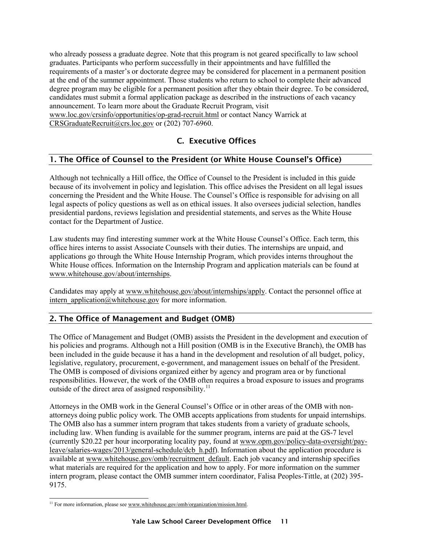<span id="page-11-0"></span>who already possess a graduate degree. Note that this program is not geared specifically to law school graduates. Participants who perform successfully in their appointments and have fulfilled the requirements of a master's or doctorate degree may be considered for placement in a permanent position at the end of the summer appointment. Those students who return to school to complete their advanced degree program may be eligible for a permanent position after they obtain their degree. To be considered, candidates must submit a formal application package as described in the instructions of each vacancy announcement. To learn more about the Graduate Recruit Program, visit [www.loc.gov/crsinfo/opportunities/op-grad-recruit.html](http://www.loc.gov/crsinfo/opportunities/op-grad-recruit.html) or contact Nancy Warrick at [CRSGraduateRecruit@crs.loc.gov](mailto:CRSGraduateRecruit@crs.loc.gov) or (202) 707-6960.

# C. Executive Offices

# 1. The Office of Counsel to the President (or White House Counsel's Office)

Although not technically a Hill office, the Office of Counsel to the President is included in this guide because of its involvement in policy and legislation. This office advises the President on all legal issues concerning the President and the White House. The Counsel's Office is responsible for advising on all legal aspects of policy questions as well as on ethical issues. It also oversees judicial selection, handles presidential pardons, reviews legislation and presidential statements, and serves as the White House contact for the Department of Justice.

Law students may find interesting summer work at the White House Counsel's Office. Each term, this office hires interns to assist Associate Counsels with their duties. The internships are unpaid, and applications go through the White House Internship Program, which provides interns throughout the White House offices. Information on the Internship Program and application materials can be found at [www.whitehouse.gov/about/internships.](http://www.whitehouse.gov/about/internships)

Candidates may apply at [www.whitehouse.gov/about/internships/apply.](http://www.whitehouse.gov/about/internships/apply) Contact the personnel office at intern application@whitehouse.gov for more information.

# 2. The Office of Management and Budget (OMB)

The Office of Management and Budget (OMB) assists the President in the development and execution of his policies and programs. Although not a Hill position (OMB is in the Executive Branch), the OMB has been included in the guide because it has a hand in the development and resolution of all budget, policy, legislative, regulatory, procurement, e-government, and management issues on behalf of the President. The OMB is composed of divisions organized either by agency and program area or by functional responsibilities. However, the work of the OMB often requires a broad exposure to issues and programs outside of the direct area of assigned responsibility.<sup>[11](#page-11-1)</sup>

Attorneys in the OMB work in the General Counsel's Office or in other areas of the OMB with nonattorneys doing public policy work. The OMB accepts applications from students for unpaid internships. The OMB also has a summer intern program that takes students from a variety of graduate schools, including law. When funding is available for the summer program, interns are paid at the GS-7 level (currently \$20.22 per hour incorporating locality pay, found at [www.opm.gov/policy-data-oversight/pay](http://www.opm.gov/policy-data-oversight/pay-leave/salaries-wages/2013/general-schedule/dcb_h.pdf)[leave/salaries-wages/2013/general-schedule/dcb\\_h.pdf\)](http://www.opm.gov/policy-data-oversight/pay-leave/salaries-wages/2013/general-schedule/dcb_h.pdf). Information about the application procedure is available at [www.whitehouse.gov/omb/recruitment\\_default.](http://www.whitehouse.gov/omb/recruitment_default) Each job vacancy and internship specifies what materials are required for the application and how to apply. For more information on the summer intern program, please contact the OMB summer intern coordinator, Falisa Peoples-Tittle, at (202) 395- 9175.

<span id="page-11-1"></span> $\overline{a}$ <sup>11</sup> For more information, please see www.whitehouse.gov/omb/organization/mission.html.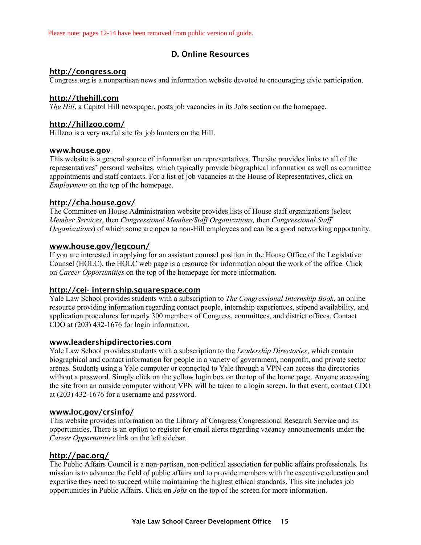<span id="page-12-0"></span>Please note: pages 12-14 have been removed from public version of guide.

### D. Online Resources

#### [http://congress.org](http://congress.org/)

Congress.org is a nonpartisan news and information website devoted to encouraging civic participation.

#### [http://thehill.com](http://thehill.com/)

*The Hill*, a Capitol Hill newspaper, posts job vacancies in its Jobs section on the homepage.

#### <http://hillzoo.com/>

Hillzoo is a very useful site for job hunters on the Hill.

#### [www.house.gov](http://www.house.gov/)

This website is a general source of information on representatives. The site provides links to all of the representatives' personal websites, which typically provide biographical information as well as committee appointments and staff contacts. For a list of job vacancies at the House of Representatives, click on *Employment* on the top of the homepage.

#### <http://cha.house.gov/>

The Committee on House Administration website provides lists of House staff organizations (select *Member Services*, then *Congressional Member/Staff Organizations,* then *Congressional Staff Organizations*) of which some are open to non-Hill employees and can be a good networking opportunity.

#### [www.house.gov/legcoun/](http://www.house.gov/legcoun/)

If you are interested in applying for an assistant counsel position in the House Office of the Legislative Counsel (HOLC), the HOLC web page is a resource for information about the work of the office. Click on *Career Opportunities* on the top of the homepage for more information.

#### [http://cei- internship.squarespace.com](http://cei-internship.squarespace.com/)

Yale Law School provides students with a subscription to *The Congressional Internship Book*, an online resource providing information regarding contact people, internship experiences, stipend availability, and application procedures for nearly 300 members of Congress, committees, and district offices. Contact CDO at (203) 432-1676 for login information.

#### [www.leadershipdirectories.com](http://www.leadershipdirectories.com/)

Yale Law School provides students with a subscription to the *Leadership Directories*, which contain biographical and contact information for people in a variety of government, nonprofit, and private sector arenas. Students using a Yale computer or connected to Yale through a VPN can access the directories without a password. Simply click on the yellow login box on the top of the home page. Anyone accessing the site from an outside computer without VPN will be taken to a login screen. In that event, contact CDO at (203) 432-1676 for a username and password.

#### [www.loc.gov/crsinfo/](http://www.loc.gov/crsinfo/)

This website provides information on the Library of Congress Congressional Research Service and its opportunities. There is an option to register for email alerts regarding vacancy announcements under the *Career Opportunities* link on the left sidebar.

#### <http://pac.org/>

The Public Affairs Council is a non-partisan, non-political association for public affairs professionals. Its mission is to advance the field of public affairs and to provide members with the executive education and expertise they need to succeed while maintaining the highest ethical standards. This site includes job opportunities in Public Affairs. Click on *Jobs* on the top of the screen for more information.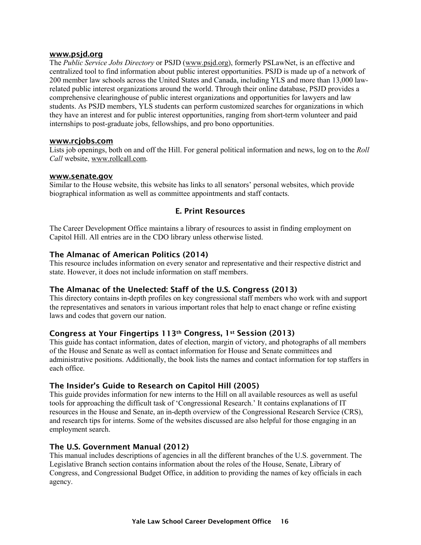#### <span id="page-13-0"></span>[www.psjd.org](http://www.psjd.org/)

The *Public Service Jobs Directory* or PSJD [\(www.psjd.org\)](http://www.psjd.org/), formerly PSLawNet, is an effective and centralized tool to find information about public interest opportunities. PSJD is made up of a network of 200 member law schools across the United States and Canada, including YLS and more than 13,000 lawrelated public interest organizations around the world. Through their online database, PSJD provides a comprehensive clearinghouse of public interest organizations and opportunities for lawyers and law students. As PSJD members, YLS students can perform customized searches for organizations in which they have an interest and for public interest opportunities, ranging from short-term volunteer and paid internships to post-graduate jobs, fellowships, and pro bono opportunities.

#### [www.rcjobs.com](http://www.rcjobs.com/)

Lists job openings, both on and off the Hill. For general political information and news, log on to the *Roll Call* website, [www.rollcall.com.](http://www.rollcall.com/)

#### [www.senate.gov](http://www.senate.gov/)

Similar to the House website, this website has links to all senators' personal websites, which provide biographical information as well as committee appointments and staff contacts.

#### E. Print Resources

The Career Development Office maintains a library of resources to assist in finding employment on Capitol Hill. All entries are in the CDO library unless otherwise listed.

#### The Almanac of American Politics (2014)

This resource includes information on every senator and representative and their respective district and state. However, it does not include information on staff members.

#### The Almanac of the Unelected: Staff of the U.S. Congress (2013)

This directory contains in-depth profiles on key congressional staff members who work with and support the representatives and senators in various important roles that help to enact change or refine existing laws and codes that govern our nation.

#### Congress at Your Fingertips 113th Congress, 1st Session (2013)

This guide has contact information, dates of election, margin of victory, and photographs of all members of the House and Senate as well as contact information for House and Senate committees and administrative positions. Additionally, the book lists the names and contact information for top staffers in each office.

#### The Insider's Guide to Research on Capitol Hill (2005)

This guide provides information for new interns to the Hill on all available resources as well as useful tools for approaching the difficult task of 'Congressional Research.' It contains explanations of IT resources in the House and Senate, an in-depth overview of the Congressional Research Service (CRS), and research tips for interns. Some of the websites discussed are also helpful for those engaging in an employment search.

#### The U.S. Government Manual (2012)

This manual includes descriptions of agencies in all the different branches of the U.S. government. The Legislative Branch section contains information about the roles of the House, Senate, Library of Congress, and Congressional Budget Office, in addition to providing the names of key officials in each agency.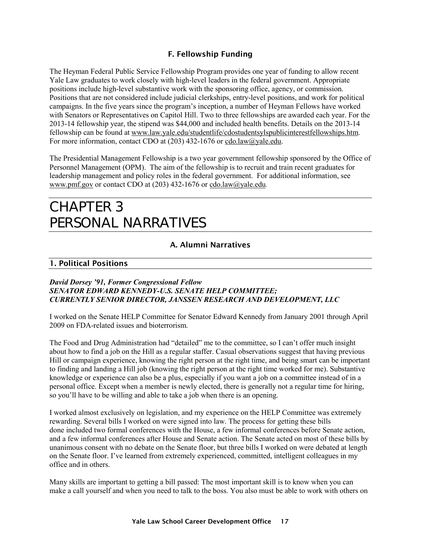# F. Fellowship Funding

<span id="page-14-0"></span>The Heyman Federal Public Service Fellowship Program provides one year of funding to allow recent Yale Law graduates to work closely with high-level leaders in the federal government. Appropriate positions include high-level substantive work with the sponsoring office, agency, or commission. Positions that are not considered include judicial clerkships, entry-level positions, and work for political campaigns. In the five years since the program's inception, a number of Heyman Fellows have worked with Senators or Representatives on Capitol Hill. Two to three fellowships are awarded each year. For the 2013-14 fellowship year, the stipend was \$44,000 and included health benefits. Details on the 2013-14 fellowship can be found at [www.law.yale.edu/studentlife/cdostudentsylspublicinterestfellowships.htm.](http://www.law.yale.edu/studentlife/cdostudentsylspublicinterestfellowships.htm) For more information, contact CDO at (203) 432-1676 or [cdo.law@yale.edu.](mailto:cdo.law@yale.edu)

The Presidential Management Fellowship is a two year government fellowship sponsored by the Office of Personnel Management (OPM). The aim of the fellowship is to recruit and train recent graduates for leadership management and policy roles in the federal government. For additional information, see [www.pmf.gov](http://www.pmf.gov/) or contact CDO at (203) 432-1676 or [cdo.law@yale.edu.](mailto:cdo.law@yale.edu)

# CHAPTER 3 PERSONAL NARRATIVES

# A. Alumni Narratives

#### 1. Political Positions

#### *David Dorsey '91, Former Congressional Fellow SENATOR EDWARD KENNEDY-U.S. SENATE HELP COMMITTEE; CURRENTLY SENIOR DIRECTOR, JANSSEN RESEARCH AND DEVELOPMENT, LLC*

I worked on the Senate HELP Committee for Senator Edward Kennedy from January 2001 through April 2009 on FDA-related issues and bioterrorism.

The Food and Drug Administration had "detailed" me to the committee, so I can't offer much insight about how to find a job on the Hill as a regular staffer. Casual observations suggest that having previous Hill or campaign experience, knowing the right person at the right time, and being smart can be important to finding and landing a Hill job (knowing the right person at the right time worked for me). Substantive knowledge or experience can also be a plus, especially if you want a job on a committee instead of in a personal office. Except when a member is newly elected, there is generally not a regular time for hiring, so you'll have to be willing and able to take a job when there is an opening.

I worked almost exclusively on legislation, and my experience on the HELP Committee was extremely rewarding. Several bills I worked on were signed into law. The process for getting these bills done included two formal conferences with the House, a few informal conferences before Senate action, and a few informal conferences after House and Senate action. The Senate acted on most of these bills by unanimous consent with no debate on the Senate floor, but three bills I worked on were debated at length on the Senate floor. I've learned from extremely experienced, committed, intelligent colleagues in my office and in others.

Many skills are important to getting a bill passed: The most important skill is to know when you can make a call yourself and when you need to talk to the boss. You also must be able to work with others on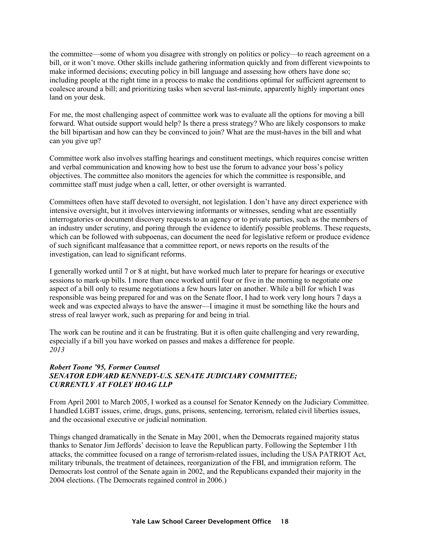the committee—some of whom you disagree with strongly on politics or policy—to reach agreement on a bill, or it won't move. Other skills include gathering information quickly and from different viewpoints to make informed decisions; executing policy in bill language and assessing how others have done so; including people at the right time in a process to make the conditions optimal for sufficient agreement to coalesce around a bill; and prioritizing tasks when several last-minute, apparently highly important ones land on your desk.

For me, the most challenging aspect of committee work was to evaluate all the options for moving a bill forward. What outside support would help? Is there a press strategy? Who are likely cosponsors to make the bill bipartisan and how can they be convinced to join? What are the must-haves in the bill and what can you give up?

Committee work also involves staffing hearings and constituent meetings, which requires concise written and verbal communication and knowing how to best use the forum to advance your boss's policy objectives. The committee also monitors the agencies for which the committee is responsible, and committee staff must judge when a call, letter, or other oversight is warranted.

Committees often have staff devoted to oversight, not legislation. I don't have any direct experience with intensive oversight, but it involves interviewing informants or witnesses, sending what are essentially interrogatories or document discovery requests to an agency or to private parties, such as the members of an industry under scrutiny, and poring through the evidence to identify possible problems. These requests, which can be followed with subpoenas, can document the need for legislative reform or produce evidence of such significant malfeasance that a committee report, or news reports on the results of the investigation, can lead to significant reforms.

I generally worked until 7 or 8 at night, but have worked much later to prepare for hearings or executive sessions to mark-up bills. I more than once worked until four or five in the morning to negotiate one aspect of a bill only to resume negotiations a few hours later on another. While a bill for which I was responsible was being prepared for and was on the Senate floor, I had to work very long hours 7 days a week and was expected always to have the answer—I imagine it must be something like the hours and stress of real lawyer work, such as preparing for and being in trial*.* 

The work can be routine and it can be frustrating. But it is often quite challenging and very rewarding, especially if a bill you have worked on passes and makes a difference for people. *2013*

#### *Robert Toone '95, Former Counsel SENATOR EDWARD KENNEDY-U.S. SENATE JUDICIARY COMMITTEE; CURRENTLY AT FOLEY HOAG LLP*

From April 2001 to March 2005, I worked as a counsel for Senator Kennedy on the Judiciary Committee. I handled LGBT issues, crime, drugs, guns, prisons, sentencing, terrorism, related civil liberties issues, and the occasional executive or judicial nomination.

Things changed dramatically in the Senate in May 2001, when the Democrats regained majority status thanks to Senator Jim Jeffords' decision to leave the Republican party. Following the September 11th attacks, the committee focused on a range of terrorism-related issues, including the USA PATRIOT Act, military tribunals, the treatment of detainees, reorganization of the FBI, and immigration reform. The Democrats lost control of the Senate again in 2002, and the Republicans expanded their majority in the 2004 elections. (The Democrats regained control in 2006.)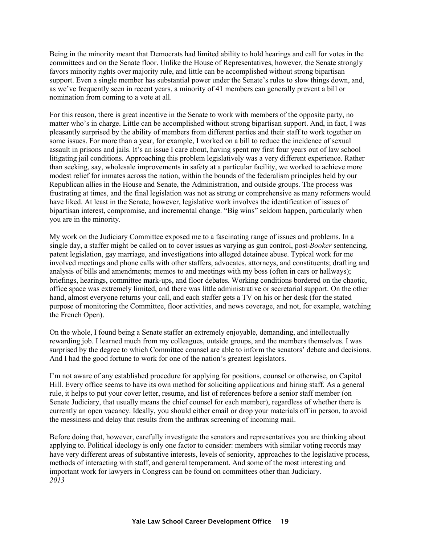Being in the minority meant that Democrats had limited ability to hold hearings and call for votes in the committees and on the Senate floor. Unlike the House of Representatives, however, the Senate strongly favors minority rights over majority rule, and little can be accomplished without strong bipartisan support. Even a single member has substantial power under the Senate's rules to slow things down, and, as we've frequently seen in recent years, a minority of 41 members can generally prevent a bill or nomination from coming to a vote at all.

For this reason, there is great incentive in the Senate to work with members of the opposite party, no matter who's in charge. Little can be accomplished without strong bipartisan support. And, in fact, I was pleasantly surprised by the ability of members from different parties and their staff to work together on some issues. For more than a year, for example, I worked on a bill to reduce the incidence of sexual assault in prisons and jails. It's an issue I care about, having spent my first four years out of law school litigating jail conditions. Approaching this problem legislatively was a very different experience. Rather than seeking, say, wholesale improvements in safety at a particular facility, we worked to achieve more modest relief for inmates across the nation, within the bounds of the federalism principles held by our Republican allies in the House and Senate, the Administration, and outside groups. The process was frustrating at times, and the final legislation was not as strong or comprehensive as many reformers would have liked. At least in the Senate, however, legislative work involves the identification of issues of bipartisan interest, compromise, and incremental change. "Big wins" seldom happen, particularly when you are in the minority.

My work on the Judiciary Committee exposed me to a fascinating range of issues and problems. In a single day, a staffer might be called on to cover issues as varying as gun control, post-*Booker* sentencing, patent legislation, gay marriage, and investigations into alleged detainee abuse. Typical work for me involved meetings and phone calls with other staffers, advocates, attorneys, and constituents; drafting and analysis of bills and amendments; memos to and meetings with my boss (often in cars or hallways); briefings, hearings, committee mark-ups, and floor debates. Working conditions bordered on the chaotic, office space was extremely limited, and there was little administrative or secretarial support. On the other hand, almost everyone returns your call, and each staffer gets a TV on his or her desk (for the stated purpose of monitoring the Committee, floor activities, and news coverage, and not, for example, watching the French Open).

On the whole, I found being a Senate staffer an extremely enjoyable, demanding, and intellectually rewarding job. I learned much from my colleagues, outside groups, and the members themselves. I was surprised by the degree to which Committee counsel are able to inform the senators' debate and decisions. And I had the good fortune to work for one of the nation's greatest legislators.

I'm not aware of any established procedure for applying for positions, counsel or otherwise, on Capitol Hill. Every office seems to have its own method for soliciting applications and hiring staff. As a general rule, it helps to put your cover letter, resume, and list of references before a senior staff member (on Senate Judiciary, that usually means the chief counsel for each member), regardless of whether there is currently an open vacancy. Ideally, you should either email or drop your materials off in person, to avoid the messiness and delay that results from the anthrax screening of incoming mail.

Before doing that, however, carefully investigate the senators and representatives you are thinking about applying to. Political ideology is only one factor to consider: members with similar voting records may have very different areas of substantive interests, levels of seniority, approaches to the legislative process, methods of interacting with staff, and general temperament. And some of the most interesting and important work for lawyers in Congress can be found on committees other than Judiciary. *2013*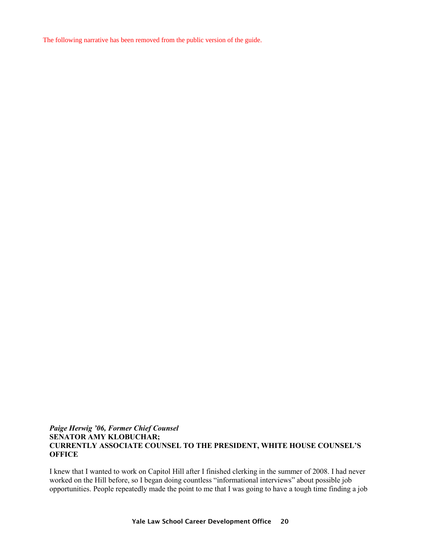The following narrative has been removed from the public version of the guide.

#### *Paige Herwig '06, Former Chief Counsel* **SENATOR AMY KLOBUCHAR; CURRENTLY ASSOCIATE COUNSEL TO THE PRESIDENT, WHITE HOUSE COUNSEL'S OFFICE**

I knew that I wanted to work on Capitol Hill after I finished clerking in the summer of 2008. I had never worked on the Hill before, so I began doing countless "informational interviews" about possible job opportunities. People repeatedly made the point to me that I was going to have a tough time finding a job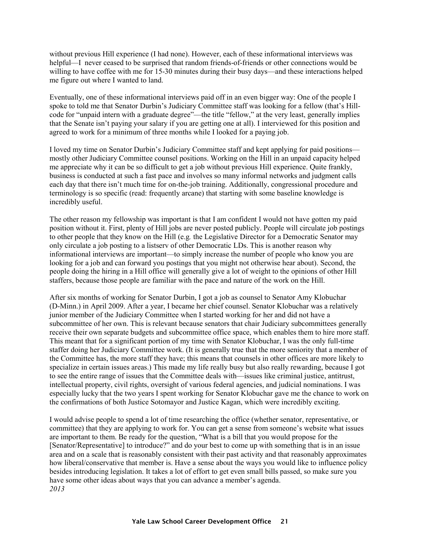without previous Hill experience (I had none). However, each of these informational interviews was helpful—I never ceased to be surprised that random friends-of-friends or other connections would be willing to have coffee with me for 15-30 minutes during their busy days—and these interactions helped me figure out where I wanted to land.

Eventually, one of these informational interviews paid off in an even bigger way: One of the people I spoke to told me that Senator Durbin's Judiciary Committee staff was looking for a fellow (that's Hillcode for "unpaid intern with a graduate degree"—the title "fellow," at the very least, generally implies that the Senate isn't paying your salary if you are getting one at all). I interviewed for this position and agreed to work for a minimum of three months while I looked for a paying job.

I loved my time on Senator Durbin's Judiciary Committee staff and kept applying for paid positions mostly other Judiciary Committee counsel positions. Working on the Hill in an unpaid capacity helped me appreciate why it can be so difficult to get a job without previous Hill experience. Quite frankly, business is conducted at such a fast pace and involves so many informal networks and judgment calls each day that there isn't much time for on-the-job training. Additionally, congressional procedure and terminology is so specific (read: frequently arcane) that starting with some baseline knowledge is incredibly useful.

The other reason my fellowship was important is that I am confident I would not have gotten my paid position without it. First, plenty of Hill jobs are never posted publicly. People will circulate job postings to other people that they know on the Hill (e.g*.* the Legislative Director for a Democratic Senator may only circulate a job posting to a listserv of other Democratic LDs. This is another reason why informational interviews are important—to simply increase the number of people who know you are looking for a job and can forward you postings that you might not otherwise hear about). Second, the people doing the hiring in a Hill office will generally give a lot of weight to the opinions of other Hill staffers, because those people are familiar with the pace and nature of the work on the Hill.

After six months of working for Senator Durbin, I got a job as counsel to Senator Amy Klobuchar (D-Minn.) in April 2009. After a year, I became her chief counsel. Senator Klobuchar was a relatively junior member of the Judiciary Committee when I started working for her and did not have a subcommittee of her own. This is relevant because senators that chair Judiciary subcommittees generally receive their own separate budgets and subcommittee office space, which enables them to hire more staff. This meant that for a significant portion of my time with Senator Klobuchar, I was the only full-time staffer doing her Judiciary Committee work. (It is generally true that the more seniority that a member of the Committee has, the more staff they have; this means that counsels in other offices are more likely to specialize in certain issues areas.) This made my life really busy but also really rewarding, because I got to see the entire range of issues that the Committee deals with—issues like criminal justice, antitrust, intellectual property, civil rights, oversight of various federal agencies, and judicial nominations. I was especially lucky that the two years I spent working for Senator Klobuchar gave me the chance to work on the confirmations of both Justice Sotomayor and Justice Kagan, which were incredibly exciting.

I would advise people to spend a lot of time researching the office (whether senator, representative, or committee) that they are applying to work for. You can get a sense from someone's website what issues are important to them. Be ready for the question, "What is a bill that you would propose for the [Senator/Representative] to introduce?" and do your best to come up with something that is in an issue area and on a scale that is reasonably consistent with their past activity and that reasonably approximates how liberal/conservative that member is. Have a sense about the ways you would like to influence policy besides introducing legislation. It takes a lot of effort to get even small bills passed, so make sure you have some other ideas about ways that you can advance a member's agenda. *2013*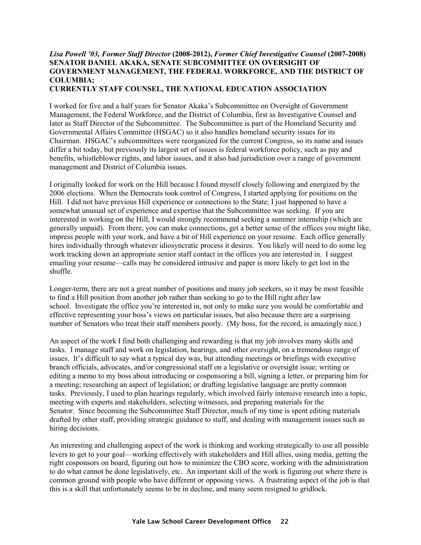# *Lisa Powell '03, Former Staff Director* **(2008-2012),** *Former Chief Investigative Counsel* **(2007-2008) SENATOR DANIEL AKAKA, SENATE SUBCOMMITTEE ON OVERSIGHT OF GOVERNMENT MANAGEMENT, THE FEDERAL WORKFORCE, AND THE DISTRICT OF COLUMBIA;**

**CURRENTLY STAFF COUNSEL, THE NATIONAL EDUCATION ASSOCIATION**

I worked for five and a half years for Senator Akaka's Subcommittee on Oversight of Government Management, the Federal Workforce, and the District of Columbia, first as Investigative Counsel and later as Staff Director of the Subcommittee. The Subcommittee is part of the Homeland Security and Governmental Affairs Committee (HSGAC) so it also handles homeland security issues for its Chairman. HSGAC's subcommittees were reorganized for the current Congress, so its name and issues differ a bit today, but previously its largest set of issues is federal workforce policy, such as pay and benefits, whistleblower rights, and labor issues, and it also had jurisdiction over a range of government management and District of Columbia issues.

I originally looked for work on the Hill because I found myself closely following and energized by the 2006 elections. When the Democrats took control of Congress, I started applying for positions on the Hill. I did not have previous Hill experience or connections to the State; I just happened to have a somewhat unusual set of experience and expertise that the Subcommittee was seeking. If you are interested in working on the Hill, I would strongly recommend seeking a summer internship (which are generally unpaid). From there, you can make connections, get a better sense of the offices you might like, impress people with your work, and have a bit of Hill experience on your resume. Each office generally hires individually through whatever idiosyncratic process it desires. You likely will need to do some leg work tracking down an appropriate senior staff contact in the offices you are interested in. I suggest emailing your resume—calls may be considered intrusive and paper is more likely to get lost in the shuffle.

Longer-term, there are not a great number of positions and many job seekers, so it may be most feasible to find a Hill position from another job rather than seeking to go to the Hill right after law school. Investigate the office you're interested in, not only to make sure you would be comfortable and effective representing your boss's views on particular issues, but also because there are a surprising number of Senators who treat their staff members poorly. (My boss, for the record, is amazingly nice.)

An aspect of the work I find both challenging and rewarding is that my job involves many skills and tasks. I manage staff and work on legislation, hearings, and other oversight, on a tremendous range of issues. It's difficult to say what a typical day was, but attending meetings or briefings with executive branch officials, advocates, and/or congressional staff on a legislative or oversight issue; writing or editing a memo to my boss about introducing or cosponsoring a bill, signing a letter, or preparing him for a meeting; researching an aspect of legislation; or drafting legislative language are pretty common tasks. Previously, I used to plan hearings regularly, which involved fairly intensive research into a topic, meeting with experts and stakeholders, selecting witnesses, and preparing materials for the Senator. Since becoming the Subcommittee Staff Director, much of my time is spent editing materials drafted by other staff, providing strategic guidance to staff, and dealing with management issues such as hiring decisions.

An interesting and challenging aspect of the work is thinking and working strategically to use all possible levers to get to your goal—working effectively with stakeholders and Hill allies, using media, getting the right cosponsors on board, figuring out how to minimize the CBO score, working with the administration to do what cannot be done legislatively, etc. An important skill of the work is figuring out where there is common ground with people who have different or opposing views. A frustrating aspect of the job is that this is a skill that unfortunately seems to be in decline, and many seem resigned to gridlock.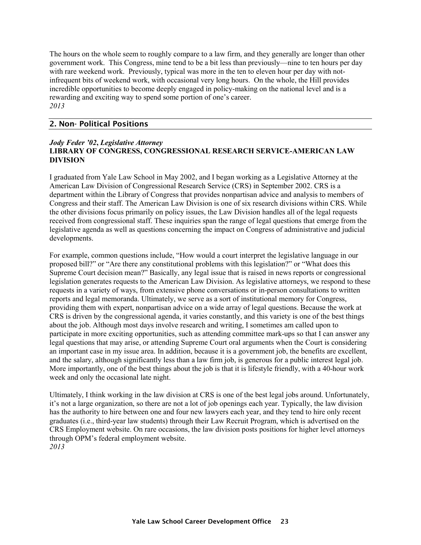<span id="page-20-0"></span>The hours on the whole seem to roughly compare to a law firm, and they generally are longer than other government work. This Congress, mine tend to be a bit less than previously—nine to ten hours per day with rare weekend work. Previously, typical was more in the ten to eleven hour per day with notinfrequent bits of weekend work, with occasional very long hours. On the whole, the Hill provides incredible opportunities to become deeply engaged in policy-making on the national level and is a rewarding and exciting way to spend some portion of one's career. *2013* 

#### 2. Non- Political Positions

#### *Jody Feder '02***,** *Legislative Attorney* **LIBRARY OF CONGRESS, CONGRESSIONAL RESEARCH SERVICE-AMERICAN LAW DIVISION**

I graduated from Yale Law School in May 2002, and I began working as a Legislative Attorney at the American Law Division of Congressional Research Service (CRS) in September 2002. CRS is a department within the Library of Congress that provides nonpartisan advice and analysis to members of Congress and their staff. The American Law Division is one of six research divisions within CRS. While the other divisions focus primarily on policy issues, the Law Division handles all of the legal requests received from congressional staff. These inquiries span the range of legal questions that emerge from the legislative agenda as well as questions concerning the impact on Congress of administrative and judicial developments.

For example, common questions include, "How would a court interpret the legislative language in our proposed bill?" or "Are there any constitutional problems with this legislation?" or "What does this Supreme Court decision mean?" Basically, any legal issue that is raised in news reports or congressional legislation generates requests to the American Law Division. As legislative attorneys, we respond to these requests in a variety of ways, from extensive phone conversations or in-person consultations to written reports and legal memoranda. Ultimately, we serve as a sort of institutional memory for Congress, providing them with expert, nonpartisan advice on a wide array of legal questions. Because the work at CRS is driven by the congressional agenda, it varies constantly, and this variety is one of the best things about the job. Although most days involve research and writing, I sometimes am called upon to participate in more exciting opportunities, such as attending committee mark-ups so that I can answer any legal questions that may arise, or attending Supreme Court oral arguments when the Court is considering an important case in my issue area. In addition, because it is a government job, the benefits are excellent, and the salary, although significantly less than a law firm job, is generous for a public interest legal job. More importantly, one of the best things about the job is that it is lifestyle friendly, with a 40-hour work week and only the occasional late night.

Ultimately, I think working in the law division at CRS is one of the best legal jobs around. Unfortunately, it's not a large organization, so there are not a lot of job openings each year. Typically, the law division has the authority to hire between one and four new lawyers each year, and they tend to hire only recent graduates (i.e., third-year law students) through their Law Recruit Program, which is advertised on the CRS Employment website. On rare occasions, the law division posts positions for higher level attorneys through OPM's federal employment website. *2013*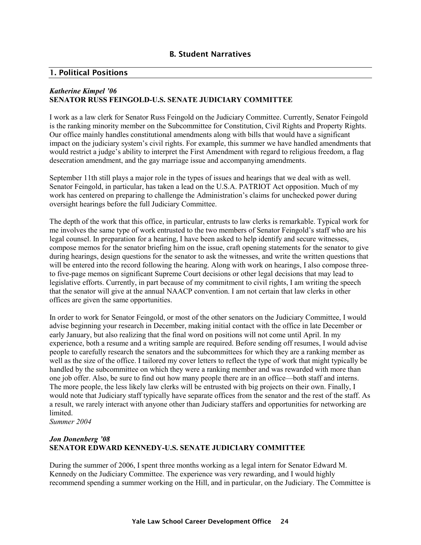#### <span id="page-21-0"></span>1. Political Positions

#### *Katherine Kimpel '06*  **SENATOR RUSS FEINGOLD-U.S. SENATE JUDICIARY COMMITTEE**

I work as a law clerk for Senator Russ Feingold on the Judiciary Committee. Currently, Senator Feingold is the ranking minority member on the Subcommittee for Constitution, Civil Rights and Property Rights. Our office mainly handles constitutional amendments along with bills that would have a significant impact on the judiciary system's civil rights. For example, this summer we have handled amendments that would restrict a judge's ability to interpret the First Amendment with regard to religious freedom, a flag desecration amendment, and the gay marriage issue and accompanying amendments.

September 11th still plays a major role in the types of issues and hearings that we deal with as well. Senator Feingold, in particular, has taken a lead on the U.S.A. PATRIOT Act opposition. Much of my work has centered on preparing to challenge the Administration's claims for unchecked power during oversight hearings before the full Judiciary Committee.

The depth of the work that this office, in particular, entrusts to law clerks is remarkable. Typical work for me involves the same type of work entrusted to the two members of Senator Feingold's staff who are his legal counsel. In preparation for a hearing, I have been asked to help identify and secure witnesses, compose memos for the senator briefing him on the issue, craft opening statements for the senator to give during hearings, design questions for the senator to ask the witnesses, and write the written questions that will be entered into the record following the hearing. Along with work on hearings, I also compose threeto five-page memos on significant Supreme Court decisions or other legal decisions that may lead to legislative efforts. Currently, in part because of my commitment to civil rights, I am writing the speech that the senator will give at the annual NAACP convention. I am not certain that law clerks in other offices are given the same opportunities.

In order to work for Senator Feingold, or most of the other senators on the Judiciary Committee, I would advise beginning your research in December, making initial contact with the office in late December or early January, but also realizing that the final word on positions will not come until April. In my experience, both a resume and a writing sample are required. Before sending off resumes, I would advise people to carefully research the senators and the subcommittees for which they are a ranking member as well as the size of the office. I tailored my cover letters to reflect the type of work that might typically be handled by the subcommittee on which they were a ranking member and was rewarded with more than one job offer. Also, be sure to find out how many people there are in an office—both staff and interns. The more people, the less likely law clerks will be entrusted with big projects on their own. Finally, I would note that Judiciary staff typically have separate offices from the senator and the rest of the staff. As a result, we rarely interact with anyone other than Judiciary staffers and opportunities for networking are **limited** 

*Summer 2004* 

#### *Jon Donenberg '08*  **SENATOR EDWARD KENNEDY-U.S. SENATE JUDICIARY COMMITTEE**

During the summer of 2006, I spent three months working as a legal intern for Senator Edward M. Kennedy on the Judiciary Committee. The experience was very rewarding, and I would highly recommend spending a summer working on the Hill, and in particular, on the Judiciary. The Committee is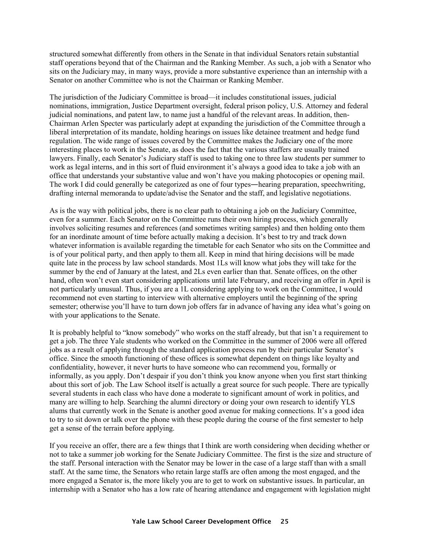structured somewhat differently from others in the Senate in that individual Senators retain substantial staff operations beyond that of the Chairman and the Ranking Member. As such, a job with a Senator who sits on the Judiciary may, in many ways, provide a more substantive experience than an internship with a Senator on another Committee who is not the Chairman or Ranking Member.

The jurisdiction of the Judiciary Committee is broad—it includes constitutional issues, judicial nominations, immigration, Justice Department oversight, federal prison policy, U.S. Attorney and federal judicial nominations, and patent law, to name just a handful of the relevant areas. In addition, then-Chairman Arlen Specter was particularly adept at expanding the jurisdiction of the Committee through a liberal interpretation of its mandate, holding hearings on issues like detainee treatment and hedge fund regulation. The wide range of issues covered by the Committee makes the Judiciary one of the more interesting places to work in the Senate, as does the fact that the various staffers are usually trained lawyers. Finally, each Senator's Judiciary staff is used to taking one to three law students per summer to work as legal interns, and in this sort of fluid environment it's always a good idea to take a job with an office that understands your substantive value and won't have you making photocopies or opening mail. The work I did could generally be categorized as one of four types—hearing preparation, speechwriting, drafting internal memoranda to update/advise the Senator and the staff, and legislative negotiations.

As is the way with political jobs, there is no clear path to obtaining a job on the Judiciary Committee, even for a summer. Each Senator on the Committee runs their own hiring process, which generally involves soliciting resumes and references (and sometimes writing samples) and then holding onto them for an inordinate amount of time before actually making a decision. It's best to try and track down whatever information is available regarding the timetable for each Senator who sits on the Committee and is of your political party, and then apply to them all. Keep in mind that hiring decisions will be made quite late in the process by law school standards. Most 1Ls will know what jobs they will take for the summer by the end of January at the latest, and 2Ls even earlier than that. Senate offices, on the other hand, often won't even start considering applications until late February, and receiving an offer in April is not particularly unusual. Thus, if you are a 1L considering applying to work on the Committee, I would recommend not even starting to interview with alternative employers until the beginning of the spring semester; otherwise you'll have to turn down job offers far in advance of having any idea what's going on with your applications to the Senate.

It is probably helpful to "know somebody" who works on the staff already, but that isn't a requirement to get a job. The three Yale students who worked on the Committee in the summer of 2006 were all offered jobs as a result of applying through the standard application process run by their particular Senator's office. Since the smooth functioning of these offices is somewhat dependent on things like loyalty and confidentiality, however, it never hurts to have someone who can recommend you, formally or informally, as you apply. Don't despair if you don't think you know anyone when you first start thinking about this sort of job. The Law School itself is actually a great source for such people. There are typically several students in each class who have done a moderate to significant amount of work in politics, and many are willing to help. Searching the alumni directory or doing your own research to identify YLS alums that currently work in the Senate is another good avenue for making connections. It's a good idea to try to sit down or talk over the phone with these people during the course of the first semester to help get a sense of the terrain before applying.

If you receive an offer, there are a few things that I think are worth considering when deciding whether or not to take a summer job working for the Senate Judiciary Committee. The first is the size and structure of the staff. Personal interaction with the Senator may be lower in the case of a large staff than with a small staff. At the same time, the Senators who retain large staffs are often among the most engaged, and the more engaged a Senator is, the more likely you are to get to work on substantive issues. In particular, an internship with a Senator who has a low rate of hearing attendance and engagement with legislation might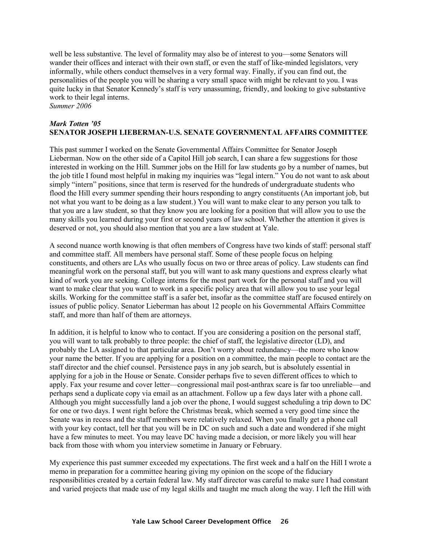well be less substantive. The level of formality may also be of interest to you—some Senators will wander their offices and interact with their own staff, or even the staff of like-minded legislators, very informally, while others conduct themselves in a very formal way. Finally, if you can find out, the personalities of the people you will be sharing a very small space with might be relevant to you. I was quite lucky in that Senator Kennedy's staff is very unassuming, friendly, and looking to give substantive work to their legal interns.

*Summer 2006* 

#### *Mark Totten '05* **SENATOR JOSEPH LIEBERMAN-U.S. SENATE GOVERNMENTAL AFFAIRS COMMITTEE**

This past summer I worked on the Senate Governmental Affairs Committee for Senator Joseph Lieberman. Now on the other side of a Capitol Hill job search, I can share a few suggestions for those interested in working on the Hill. Summer jobs on the Hill for law students go by a number of names, but the job title I found most helpful in making my inquiries was "legal intern." You do not want to ask about simply "intern" positions, since that term is reserved for the hundreds of undergraduate students who flood the Hill every summer spending their hours responding to angry constituents (An important job, but not what you want to be doing as a law student.) You will want to make clear to any person you talk to that you are a law student, so that they know you are looking for a position that will allow you to use the many skills you learned during your first or second years of law school. Whether the attention it gives is deserved or not, you should also mention that you are a law student at Yale.

A second nuance worth knowing is that often members of Congress have two kinds of staff: personal staff and committee staff. All members have personal staff. Some of these people focus on helping constituents, and others are LAs who usually focus on two or three areas of policy. Law students can find meaningful work on the personal staff, but you will want to ask many questions and express clearly what kind of work you are seeking. College interns for the most part work for the personal staff and you will want to make clear that you want to work in a specific policy area that will allow you to use your legal skills. Working for the committee staff is a safer bet, insofar as the committee staff are focused entirely on issues of public policy. Senator Lieberman has about 12 people on his Governmental Affairs Committee staff, and more than half of them are attorneys.

In addition, it is helpful to know who to contact. If you are considering a position on the personal staff, you will want to talk probably to three people: the chief of staff, the legislative director (LD), and probably the LA assigned to that particular area. Don't worry about redundancy—the more who know your name the better. If you are applying for a position on a committee, the main people to contact are the staff director and the chief counsel. Persistence pays in any job search, but is absolutely essential in applying for a job in the House or Senate. Consider perhaps five to seven different offices to which to apply. Fax your resume and cover letter—congressional mail post-anthrax scare is far too unreliable—and perhaps send a duplicate copy via email as an attachment. Follow up a few days later with a phone call. Although you might successfully land a job over the phone, I would suggest scheduling a trip down to DC for one or two days. I went right before the Christmas break, which seemed a very good time since the Senate was in recess and the staff members were relatively relaxed. When you finally get a phone call with your key contact, tell her that you will be in DC on such and such a date and wondered if she might have a few minutes to meet. You may leave DC having made a decision, or more likely you will hear back from those with whom you interview sometime in January or February.

My experience this past summer exceeded my expectations. The first week and a half on the Hill I wrote a memo in preparation for a committee hearing giving my opinion on the scope of the fiduciary responsibilities created by a certain federal law. My staff director was careful to make sure I had constant and varied projects that made use of my legal skills and taught me much along the way. I left the Hill with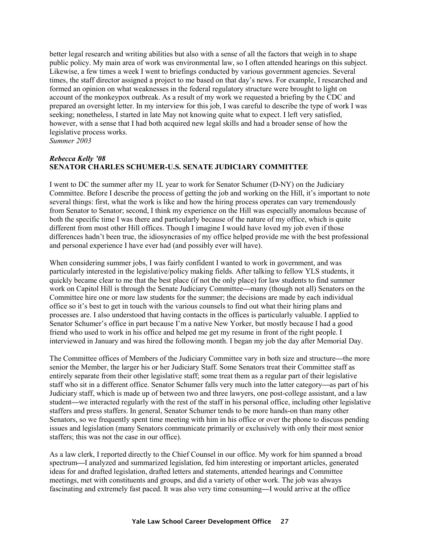better legal research and writing abilities but also with a sense of all the factors that weigh in to shape public policy. My main area of work was environmental law, so I often attended hearings on this subject. Likewise, a few times a week I went to briefings conducted by various government agencies. Several times, the staff director assigned a project to me based on that day's news. For example, I researched and formed an opinion on what weaknesses in the federal regulatory structure were brought to light on account of the monkeypox outbreak. As a result of my work we requested a briefing by the CDC and prepared an oversight letter. In my interview for this job, I was careful to describe the type of work I was seeking; nonetheless, I started in late May not knowing quite what to expect. I left very satisfied, however, with a sense that I had both acquired new legal skills and had a broader sense of how the legislative process works.

*Summer 2003* 

#### *Rebecca Kelly '08*  **SENATOR CHARLES SCHUMER-U.S. SENATE JUDICIARY COMMITTEE**

I went to DC the summer after my 1L year to work for Senator Schumer (D-NY) on the Judiciary Committee. Before I describe the process of getting the job and working on the Hill, it's important to note several things: first, what the work is like and how the hiring process operates can vary tremendously from Senator to Senator; second, I think my experience on the Hill was especially anomalous because of both the specific time I was there and particularly because of the nature of my office, which is quite different from most other Hill offices. Though I imagine I would have loved my job even if those differences hadn't been true, the idiosyncrasies of my office helped provide me with the best professional and personal experience I have ever had (and possibly ever will have).

When considering summer jobs, I was fairly confident I wanted to work in government, and was particularly interested in the legislative/policy making fields. After talking to fellow YLS students, it quickly became clear to me that the best place (if not the only place) for law students to find summer work on Capitol Hill is through the Senate Judiciary Committee**—**many (though not all) Senators on the Committee hire one or more law students for the summer; the decisions are made by each individual office so it's best to get in touch with the various counsels to find out what their hiring plans and processes are. I also understood that having contacts in the offices is particularly valuable. I applied to Senator Schumer's office in part because I'm a native New Yorker, but mostly because I had a good friend who used to work in his office and helped me get my resume in front of the right people. I interviewed in January and was hired the following month. I began my job the day after Memorial Day.

The Committee offices of Members of the Judiciary Committee vary in both size and structure**—**the more senior the Member, the larger his or her Judiciary Staff. Some Senators treat their Committee staff as entirely separate from their other legislative staff; some treat them as a regular part of their legislative staff who sit in a different office. Senator Schumer falls very much into the latter category**—**as part of his Judiciary staff, which is made up of between two and three lawyers, one post-college assistant, and a law student**—**we interacted regularly with the rest of the staff in his personal office, including other legislative staffers and press staffers. In general, Senator Schumer tends to be more hands-on than many other Senators, so we frequently spent time meeting with him in his office or over the phone to discuss pending issues and legislation (many Senators communicate primarily or exclusively with only their most senior staffers; this was not the case in our office).

As a law clerk, I reported directly to the Chief Counsel in our office. My work for him spanned a broad spectrum**—**I analyzed and summarized legislation, fed him interesting or important articles, generated ideas for and drafted legislation, drafted letters and statements, attended hearings and Committee meetings, met with constituents and groups, and did a variety of other work. The job was always fascinating and extremely fast paced. It was also very time consuming**—**I would arrive at the office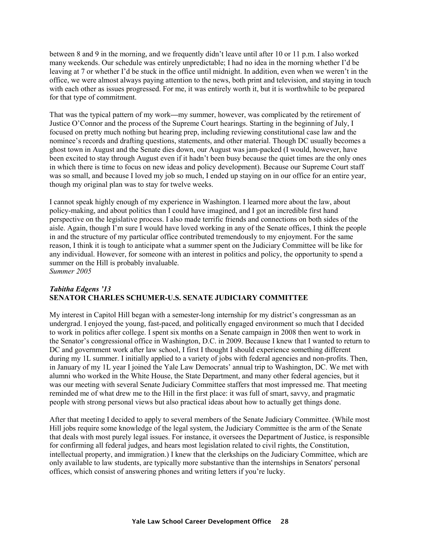between 8 and 9 in the morning, and we frequently didn't leave until after 10 or 11 p.m. I also worked many weekends. Our schedule was entirely unpredictable; I had no idea in the morning whether I'd be leaving at 7 or whether I'd be stuck in the office until midnight. In addition, even when we weren't in the office, we were almost always paying attention to the news, both print and television, and staying in touch with each other as issues progressed. For me, it was entirely worth it, but it is worthwhile to be prepared for that type of commitment.

That was the typical pattern of my work**—**my summer, however, was complicated by the retirement of Justice O'Connor and the process of the Supreme Court hearings. Starting in the beginning of July, I focused on pretty much nothing but hearing prep, including reviewing constitutional case law and the nominee's records and drafting questions, statements, and other material. Though DC usually becomes a ghost town in August and the Senate dies down, our August was jam-packed (I would, however, have been excited to stay through August even if it hadn't been busy because the quiet times are the only ones in which there is time to focus on new ideas and policy development). Because our Supreme Court staff was so small, and because I loved my job so much, I ended up staying on in our office for an entire year, though my original plan was to stay for twelve weeks.

I cannot speak highly enough of my experience in Washington. I learned more about the law, about policy-making, and about politics than I could have imagined, and I got an incredible first hand perspective on the legislative process. I also made terrific friends and connections on both sides of the aisle. Again, though I'm sure I would have loved working in any of the Senate offices, I think the people in and the structure of my particular office contributed tremendously to my enjoyment. For the same reason, I think it is tough to anticipate what a summer spent on the Judiciary Committee will be like for any individual. However, for someone with an interest in politics and policy, the opportunity to spend a summer on the Hill is probably invaluable. *Summer 2005* 

#### *Tabitha Edgens '13*  **SENATOR CHARLES SCHUMER-U.S. SENATE JUDICIARY COMMITTEE**

My interest in Capitol Hill began with a semester-long internship for my district's congressman as an undergrad. I enjoyed the young, fast-paced, and politically engaged environment so much that I decided to work in politics after college. I spent six months on a Senate campaign in 2008 then went to work in the Senator's congressional office in Washington, D.C. in 2009. Because I knew that I wanted to return to DC and government work after law school, I first I thought I should experience something different during my 1L summer. I initially applied to a variety of jobs with federal agencies and non-profits. Then, in January of my 1L year I joined the Yale Law Democrats' annual trip to Washington, DC. We met with alumni who worked in the White House, the State Department, and many other federal agencies, but it was our meeting with several Senate Judiciary Committee staffers that most impressed me. That meeting reminded me of what drew me to the Hill in the first place: it was full of smart, savvy, and pragmatic people with strong personal views but also practical ideas about how to actually get things done.

After that meeting I decided to apply to several members of the Senate Judiciary Committee. (While most Hill jobs require some knowledge of the legal system, the Judiciary Committee is the arm of the Senate that deals with most purely legal issues. For instance, it oversees the Department of Justice, is responsible for confirming all federal judges, and hears most legislation related to civil rights, the Constitution, intellectual property, and immigration.) I knew that the clerkships on the Judiciary Committee, which are only available to law students, are typically more substantive than the internships in Senators' personal offices, which consist of answering phones and writing letters if you're lucky.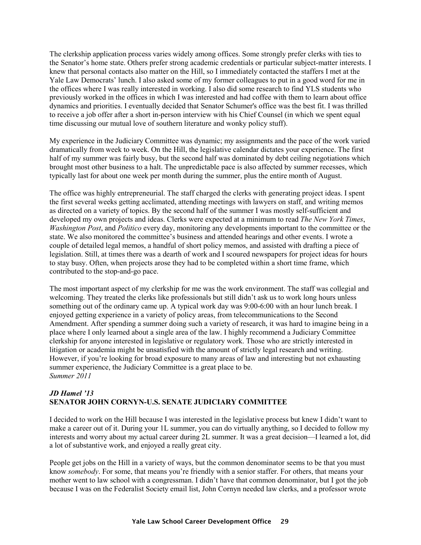The clerkship application process varies widely among offices. Some strongly prefer clerks with ties to the Senator's home state. Others prefer strong academic credentials or particular subject-matter interests. I knew that personal contacts also matter on the Hill, so I immediately contacted the staffers I met at the Yale Law Democrats' lunch. I also asked some of my former colleagues to put in a good word for me in the offices where I was really interested in working. I also did some research to find YLS students who previously worked in the offices in which I was interested and had coffee with them to learn about office dynamics and priorities. I eventually decided that Senator Schumer's office was the best fit. I was thrilled to receive a job offer after a short in-person interview with his Chief Counsel (in which we spent equal time discussing our mutual love of southern literature and wonky policy stuff).

My experience in the Judiciary Committee was dynamic; my assignments and the pace of the work varied dramatically from week to week. On the Hill, the legislative calendar dictates your experience. The first half of my summer was fairly busy, but the second half was dominated by debt ceiling negotiations which brought most other business to a halt. The unpredictable pace is also affected by summer recesses, which typically last for about one week per month during the summer, plus the entire month of August.

The office was highly entrepreneurial. The staff charged the clerks with generating project ideas. I spent the first several weeks getting acclimated, attending meetings with lawyers on staff, and writing memos as directed on a variety of topics. By the second half of the summer I was mostly self-sufficient and developed my own projects and ideas. Clerks were expected at a minimum to read *The New York Times*, *Washington Post*, and *Politico* every day, monitoring any developments important to the committee or the state. We also monitored the committee's business and attended hearings and other events. I wrote a couple of detailed legal memos, a handful of short policy memos, and assisted with drafting a piece of legislation. Still, at times there was a dearth of work and I scoured newspapers for project ideas for hours to stay busy. Often, when projects arose they had to be completed within a short time frame, which contributed to the stop-and-go pace.

The most important aspect of my clerkship for me was the work environment. The staff was collegial and welcoming. They treated the clerks like professionals but still didn't ask us to work long hours unless something out of the ordinary came up. A typical work day was 9:00-6:00 with an hour lunch break. I enjoyed getting experience in a variety of policy areas, from telecommunications to the Second Amendment. After spending a summer doing such a variety of research, it was hard to imagine being in a place where I only learned about a single area of the law. I highly recommend a Judiciary Committee clerkship for anyone interested in legislative or regulatory work. Those who are strictly interested in litigation or academia might be unsatisfied with the amount of strictly legal research and writing. However, if you're looking for broad exposure to many areas of law and interesting but not exhausting summer experience, the Judiciary Committee is a great place to be. *Summer 2011* 

#### *JD Hamel '13* **SENATOR JOHN CORNYN-U.S. SENATE JUDICIARY COMMITTEE**

I decided to work on the Hill because I was interested in the legislative process but knew I didn't want to make a career out of it. During your 1L summer, you can do virtually anything, so I decided to follow my interests and worry about my actual career during 2L summer. It was a great decision—I learned a lot, did a lot of substantive work, and enjoyed a really great city.

People get jobs on the Hill in a variety of ways, but the common denominator seems to be that you must know *somebody*. For some, that means you're friendly with a senior staffer. For others, that means your mother went to law school with a congressman. I didn't have that common denominator, but I got the job because I was on the Federalist Society email list, John Cornyn needed law clerks, and a professor wrote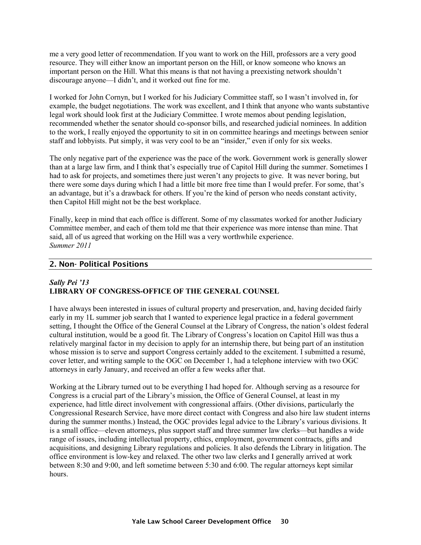<span id="page-27-0"></span>me a very good letter of recommendation. If you want to work on the Hill, professors are a very good resource. They will either know an important person on the Hill, or know someone who knows an important person on the Hill. What this means is that not having a preexisting network shouldn't discourage anyone—I didn't, and it worked out fine for me.

I worked for John Cornyn, but I worked for his Judiciary Committee staff, so I wasn't involved in, for example, the budget negotiations. The work was excellent, and I think that anyone who wants substantive legal work should look first at the Judiciary Committee. I wrote memos about pending legislation, recommended whether the senator should co-sponsor bills, and researched judicial nominees. In addition to the work, I really enjoyed the opportunity to sit in on committee hearings and meetings between senior staff and lobbyists. Put simply, it was very cool to be an "insider," even if only for six weeks.

The only negative part of the experience was the pace of the work. Government work is generally slower than at a large law firm, and I think that's especially true of Capitol Hill during the summer. Sometimes I had to ask for projects, and sometimes there just weren't any projects to give. It was never boring, but there were some days during which I had a little bit more free time than I would prefer. For some, that's an advantage, but it's a drawback for others. If you're the kind of person who needs constant activity, then Capitol Hill might not be the best workplace.

Finally, keep in mind that each office is different. Some of my classmates worked for another Judiciary Committee member, and each of them told me that their experience was more intense than mine. That said, all of us agreed that working on the Hill was a very worthwhile experience. *Summer 2011* 

#### 2. Non- Political Positions

#### *Sally Pei '13*  **LIBRARY OF CONGRESS-OFFICE OF THE GENERAL COUNSEL**

I have always been interested in issues of cultural property and preservation, and, having decided fairly early in my 1L summer job search that I wanted to experience legal practice in a federal government setting, I thought the Office of the General Counsel at the Library of Congress, the nation's oldest federal cultural institution, would be a good fit. The Library of Congress's location on Capitol Hill was thus a relatively marginal factor in my decision to apply for an internship there, but being part of an institution whose mission is to serve and support Congress certainly added to the excitement. I submitted a resumé, cover letter, and writing sample to the OGC on December 1, had a telephone interview with two OGC attorneys in early January, and received an offer a few weeks after that.

Working at the Library turned out to be everything I had hoped for. Although serving as a resource for Congress is a crucial part of the Library's mission, the Office of General Counsel, at least in my experience, had little direct involvement with congressional affairs. (Other divisions, particularly the Congressional Research Service, have more direct contact with Congress and also hire law student interns during the summer months.) Instead, the OGC provides legal advice to the Library's various divisions. It is a small office—eleven attorneys, plus support staff and three summer law clerks—but handles a wide range of issues, including intellectual property, ethics, employment, government contracts, gifts and acquisitions, and designing Library regulations and policies. It also defends the Library in litigation. The office environment is low-key and relaxed. The other two law clerks and I generally arrived at work between 8:30 and 9:00, and left sometime between 5:30 and 6:00. The regular attorneys kept similar hours.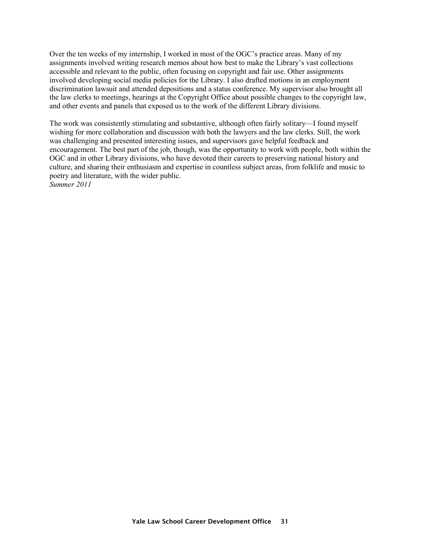Over the ten weeks of my internship, I worked in most of the OGC's practice areas. Many of my assignments involved writing research memos about how best to make the Library's vast collections accessible and relevant to the public, often focusing on copyright and fair use. Other assignments involved developing social media policies for the Library. I also drafted motions in an employment discrimination lawsuit and attended depositions and a status conference. My supervisor also brought all the law clerks to meetings, hearings at the Copyright Office about possible changes to the copyright law, and other events and panels that exposed us to the work of the different Library divisions.

The work was consistently stimulating and substantive, although often fairly solitary—I found myself wishing for more collaboration and discussion with both the lawyers and the law clerks. Still, the work was challenging and presented interesting issues, and supervisors gave helpful feedback and encouragement. The best part of the job, though, was the opportunity to work with people, both within the OGC and in other Library divisions, who have devoted their careers to preserving national history and culture, and sharing their enthusiasm and expertise in countless subject areas, from folklife and music to poetry and literature, with the wider public.

*Summer 2011*